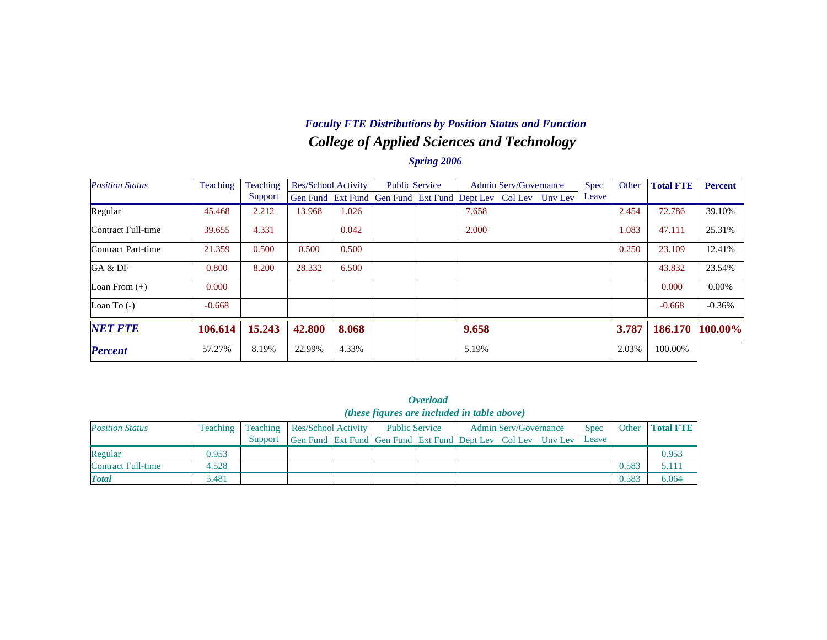## *College of Applied Sciences and Technology Faculty FTE Distributions by Position Status and Function*

| <b>Position Status</b> | Teaching | Teaching | Res/School Activity |       | <b>Public Service</b>                                        |       | <b>Admin Serv/Governance</b> | Spec  | Other | <b>Total FTE</b> | <b>Percent</b> |
|------------------------|----------|----------|---------------------|-------|--------------------------------------------------------------|-------|------------------------------|-------|-------|------------------|----------------|
|                        |          | Support  |                     |       | Gen Fund Ext Fund Gen Fund Ext Fund Dept Lev Col Lev Unv Lev |       |                              | Leave |       |                  |                |
| Regular                | 45.468   | 2.212    | 13.968              | 1.026 |                                                              | 7.658 |                              |       | 2.454 | 72.786           | 39.10%         |
| Contract Full-time     | 39.655   | 4.331    |                     | 0.042 |                                                              | 2.000 |                              |       | 1.083 | 47.111           | 25.31%         |
| Contract Part-time     | 21.359   | 0.500    | 0.500               | 0.500 |                                                              |       |                              |       | 0.250 | 23.109           | 12.41%         |
| GA & DF                | 0.800    | 8.200    | 28.332              | 6.500 |                                                              |       |                              |       |       | 43.832           | 23.54%         |
| Loan From $(+)$        | 0.000    |          |                     |       |                                                              |       |                              |       |       | 0.000            | $0.00\%$       |
| Loan To $(-)$          | $-0.668$ |          |                     |       |                                                              |       |                              |       |       | $-0.668$         | $-0.36%$       |
| <b>NET FTE</b>         | 106.614  | 15.243   | 42.800              | 8.068 |                                                              | 9.658 |                              |       | 3.787 | 186.170          | 100.00%        |
| <b>Percent</b>         | 57.27%   | 8.19%    | 22.99%              | 4.33% |                                                              | 5.19% |                              |       | 2.03% | 100.00%          |                |

|                        |          |          |                            |                                                              | <i><b>Overload</b></i> |                              |             |       |                  |
|------------------------|----------|----------|----------------------------|--------------------------------------------------------------|------------------------|------------------------------|-------------|-------|------------------|
|                        |          |          |                            | ( <i>these figures are included in table above</i> )         |                        |                              |             |       |                  |
| <b>Position Status</b> | Teaching | Teaching | <b>Res/School Activity</b> | <b>Public Service</b>                                        |                        | <b>Admin Serv/Governance</b> | <b>Spec</b> | Other | <b>Total FTE</b> |
|                        |          | Support  |                            | Gen Fund Ext Fund Gen Fund Ext Fund Dept Lev Col Lev Unv Lev |                        |                              | Leave       |       |                  |
| Regular                | 0.953    |          |                            |                                                              |                        |                              |             |       | 0.953            |
| Contract Full-time     | 4.528    |          |                            |                                                              |                        |                              |             | 0.583 | 5.111            |
| <b>Total</b>           | 5.481    |          |                            |                                                              |                        |                              |             | 0.583 | 6.064            |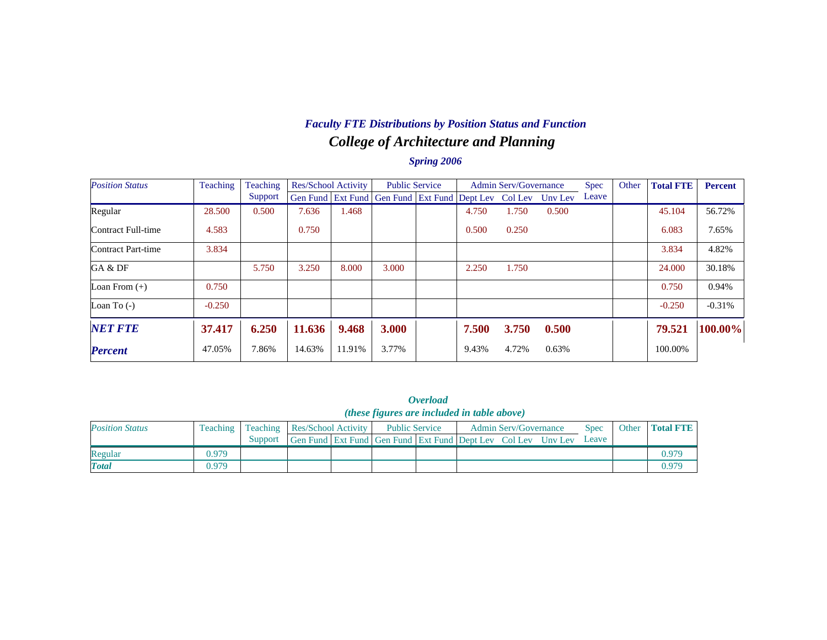## *College of Architecture and Planning Faculty FTE Distributions by Position Status and Function*

| <b>Position Status</b> | Teaching | Teaching | Res/School Activity |        | <b>Public Service</b>                                        |       | <b>Admin Serv/Governance</b> |       | <b>Spec</b> | Other | <b>Total FTE</b> | <b>Percent</b> |
|------------------------|----------|----------|---------------------|--------|--------------------------------------------------------------|-------|------------------------------|-------|-------------|-------|------------------|----------------|
|                        |          | Support  |                     |        | Gen Fund Ext Fund Gen Fund Ext Fund Dept Lev Col Lev Unv Lev |       |                              |       | Leave       |       |                  |                |
| Regular                | 28.500   | 0.500    | 7.636               | 1.468  |                                                              | 4.750 | 1.750                        | 0.500 |             |       | 45.104           | 56.72%         |
| Contract Full-time     | 4.583    |          | 0.750               |        |                                                              | 0.500 | 0.250                        |       |             |       | 6.083            | 7.65%          |
| Contract Part-time     | 3.834    |          |                     |        |                                                              |       |                              |       |             |       | 3.834            | 4.82%          |
| GA & DF                |          | 5.750    | 3.250               | 8.000  | 3.000                                                        | 2.250 | 1.750                        |       |             |       | 24.000           | 30.18%         |
| Loan From $(+)$        | 0.750    |          |                     |        |                                                              |       |                              |       |             |       | 0.750            | 0.94%          |
| Loan To $(-)$          | $-0.250$ |          |                     |        |                                                              |       |                              |       |             |       | $-0.250$         | $-0.31%$       |
| <b>NET FTE</b>         | 37.417   | 6.250    | 11.636              | 9.468  | 3.000                                                        | 7.500 | 3.750                        | 0.500 |             |       | 79.521           | 100.00%        |
| <b>Percent</b>         | 47.05%   | 7.86%    | 14.63%              | 11.91% | 3.77%                                                        | 9.43% | 4.72%                        | 0.63% |             |       | 100.00%          |                |

|                        |          |          |                            |                                                              | <i><b>Overload</b></i> |                              |             |                   |
|------------------------|----------|----------|----------------------------|--------------------------------------------------------------|------------------------|------------------------------|-------------|-------------------|
|                        |          |          |                            | <i>(these figures are included in table above)</i>           |                        |                              |             |                   |
| <b>Position Status</b> | Teaching | Teaching | <b>Res/School Activity</b> | <b>Public Service</b>                                        |                        | <b>Admin Serv/Governance</b> | <b>Spec</b> | Other   Total FTE |
|                        |          | Support  |                            | Gen Fund Ext Fund Gen Fund Ext Fund Dept Lev Col Lev Unv Lev |                        |                              | Leave       |                   |
| Regular                | 0.979    |          |                            |                                                              |                        |                              |             | 0.979             |
| <b>Total</b>           | 0.979    |          |                            |                                                              |                        |                              |             | 0.979             |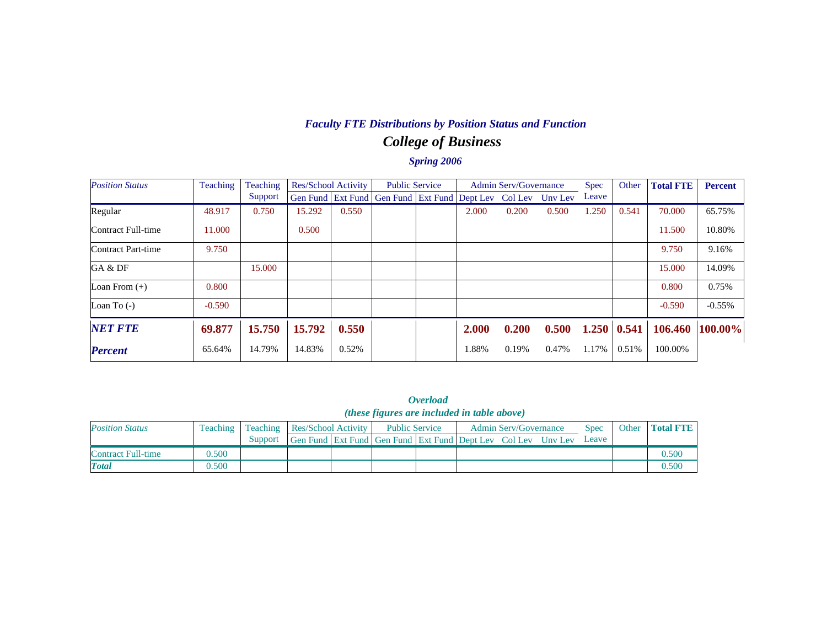# *College of Business Faculty FTE Distributions by Position Status and Function*

| <b>Position Status</b> | Teaching | Teaching | Res/School Activity |       | <b>Public Service</b>                                        |       | <b>Admin Serv/Governance</b> |       | <b>Spec</b> | Other | <b>Total FTE</b> | <b>Percent</b> |
|------------------------|----------|----------|---------------------|-------|--------------------------------------------------------------|-------|------------------------------|-------|-------------|-------|------------------|----------------|
|                        |          | Support  |                     |       | Gen Fund Ext Fund Gen Fund Ext Fund Dept Lev Col Lev Unv Lev |       |                              |       | Leave       |       |                  |                |
| Regular                | 48.917   | 0.750    | 15.292              | 0.550 |                                                              | 2.000 | 0.200                        | 0.500 | 1.250       | 0.541 | 70.000           | 65.75%         |
| Contract Full-time     | 11.000   |          | 0.500               |       |                                                              |       |                              |       |             |       | 11.500           | 10.80%         |
| Contract Part-time     | 9.750    |          |                     |       |                                                              |       |                              |       |             |       | 9.750            | 9.16%          |
| GA & DF                |          | 15.000   |                     |       |                                                              |       |                              |       |             |       | 15.000           | 14.09%         |
| Loan From $(+)$        | 0.800    |          |                     |       |                                                              |       |                              |       |             |       | 0.800            | 0.75%          |
| Loan To $(-)$          | $-0.590$ |          |                     |       |                                                              |       |                              |       |             |       | $-0.590$         | $-0.55%$       |
| <b>NET FTE</b>         | 69.877   | 15.750   | 15.792              | 0.550 |                                                              | 2.000 | 0.200                        | 0.500 | 1.250       | 0.541 | 106.460          | 100.00%        |
| <b>Percent</b>         | 65.64%   | 14.79%   | 14.83%              | 0.52% |                                                              | 1.88% | 0.19%                        | 0.47% | 1.17%       | 0.51% | 100.00%          |                |

|                        |          |          |                     |                                                              | <i><b>Overload</b></i> |                              |             |       |                  |
|------------------------|----------|----------|---------------------|--------------------------------------------------------------|------------------------|------------------------------|-------------|-------|------------------|
|                        |          |          |                     | ( <i>these figures are included in table above</i> )         |                        |                              |             |       |                  |
| <b>Position Status</b> | Teaching | Teaching | Res/School Activity | <b>Public Service</b>                                        |                        | <b>Admin Serv/Governance</b> | <b>Spec</b> | Other | <b>Total FTE</b> |
|                        |          | Support  |                     | Gen Fund Ext Fund Gen Fund Ext Fund Dept Lev Col Lev Unv Lev |                        |                              | Leave       |       |                  |
| Contract Full-time     | 0.500    |          |                     |                                                              |                        |                              |             |       | 0.500            |
| <b>Total</b>           | 0.500    |          |                     |                                                              |                        |                              |             |       | 0.500            |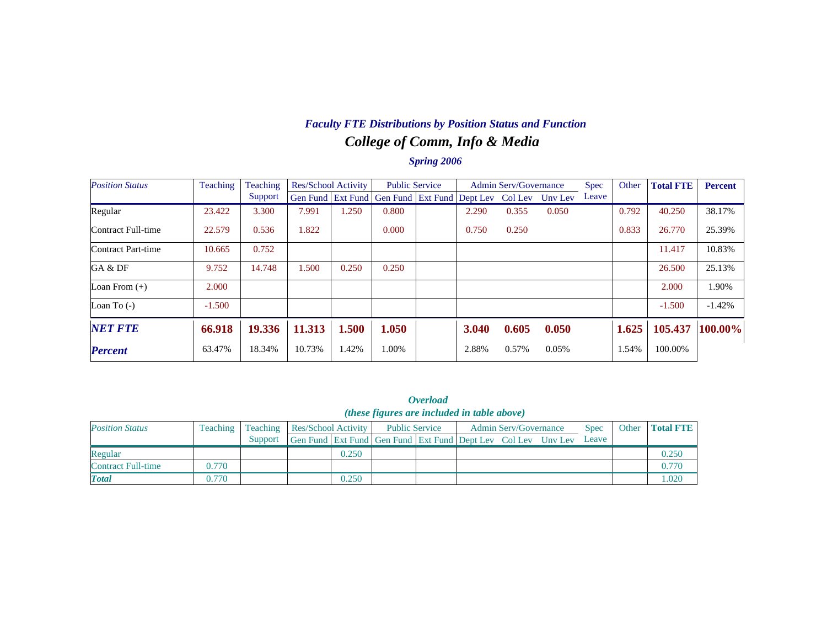# *College of Comm, Info & Media Faculty FTE Distributions by Position Status and Function*

| <b>Position Status</b> | Teaching | Teaching | Res/School Activity |       | <b>Public Service</b>                                |       | <b>Admin Serv/Governance</b> |         | <b>Spec</b> | Other | <b>Total FTE</b> | <b>Percent</b> |
|------------------------|----------|----------|---------------------|-------|------------------------------------------------------|-------|------------------------------|---------|-------------|-------|------------------|----------------|
|                        |          | Support  |                     |       | Gen Fund   Ext Fund   Gen Fund   Ext Fund   Dept Lev |       | Col Lev                      | Unv Lev | Leave       |       |                  |                |
| Regular                | 23.422   | 3.300    | 7.991               | .250  | 0.800                                                | 2.290 | 0.355                        | 0.050   |             | 0.792 | 40.250           | 38.17%         |
| Contract Full-time     | 22.579   | 0.536    | 1.822               |       | 0.000                                                | 0.750 | 0.250                        |         |             | 0.833 | 26.770           | 25.39%         |
| Contract Part-time     | 10.665   | 0.752    |                     |       |                                                      |       |                              |         |             |       | 11.417           | 10.83%         |
| GA & DF                | 9.752    | 14.748   | 1.500               | 0.250 | 0.250                                                |       |                              |         |             |       | 26.500           | 25.13%         |
| Loan From $(+)$        | 2.000    |          |                     |       |                                                      |       |                              |         |             |       | 2.000            | 1.90%          |
| Loan To $(-)$          | $-1.500$ |          |                     |       |                                                      |       |                              |         |             |       | $-1.500$         | $-1.42%$       |
| <b>NET FTE</b>         | 66.918   | 19.336   | 11.313              | 1.500 | 1.050                                                | 3.040 | 0.605                        | 0.050   |             | 1.625 | 105.437          | $100.00\%$     |
| <b>Percent</b>         | 63.47%   | 18.34%   | 10.73%              | 1.42% | 1.00%                                                | 2.88% | 0.57%                        | 0.05%   |             | 1.54% | 100.00%          |                |

|                        |          |         |                                |       |                                                              | <i><b>Overload</b></i> |  |       |  |       |
|------------------------|----------|---------|--------------------------------|-------|--------------------------------------------------------------|------------------------|--|-------|--|-------|
|                        |          |         |                                |       | ( <i>these figures are included in table above</i> )         |                        |  |       |  |       |
| <b>Position Status</b> | Teaching |         | Teaching   Res/School Activity | Other | <b>Total FTE</b>                                             |                        |  |       |  |       |
|                        |          | Support |                                |       | Gen Fund Ext Fund Gen Fund Ext Fund Dept Lev Col Lev Unv Lev |                        |  | Leave |  |       |
| Regular                |          |         |                                | 0.250 |                                                              |                        |  |       |  | 0.250 |
| Contract Full-time     | 0.770    |         |                                |       |                                                              |                        |  |       |  | 0.770 |
| <b>Total</b>           | 0.770    |         |                                | 0.250 |                                                              |                        |  |       |  | 1.020 |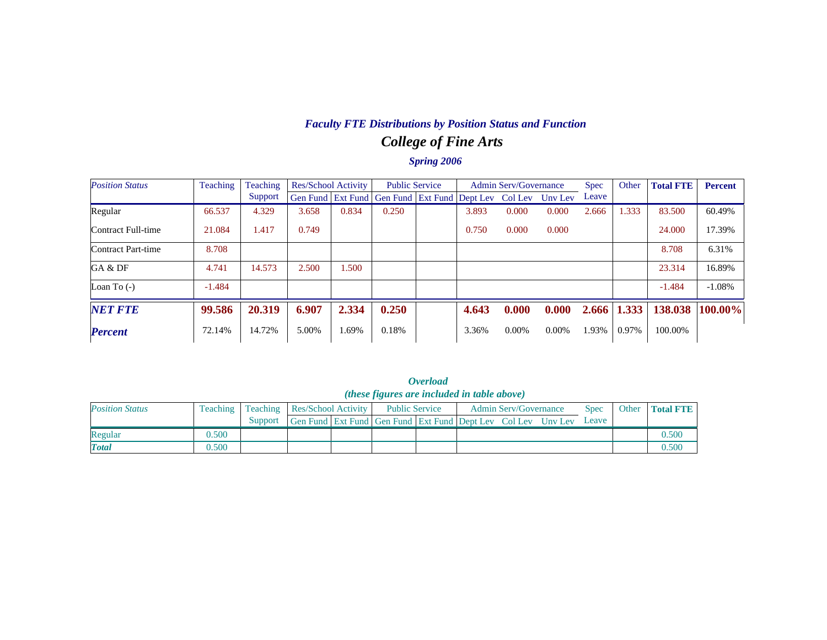# *College of Fine Arts Faculty FTE Distributions by Position Status and Function*

| <b>Position Status</b> | Teaching | Teaching | <b>Res/School Activity</b> |       | <b>Public Service</b>                                        |       | <b>Admin Serv/Governance</b> |          | <b>Spec</b> | Other | <b>Total FTE</b> | <b>Percent</b> |
|------------------------|----------|----------|----------------------------|-------|--------------------------------------------------------------|-------|------------------------------|----------|-------------|-------|------------------|----------------|
|                        |          | Support  |                            |       | Gen Fund   Ext Fund   Gen Fund   Ext Fund   Dept Lev Col Lev |       |                              | Unv Lev  | Leave       |       |                  |                |
| Regular                | 66.537   | 4.329    | 3.658                      | 0.834 | 0.250                                                        | 3.893 | 0.000                        | 0.000    | 2.666       | 1.333 | 83.500           | 60.49%         |
| Contract Full-time     | 21.084   | 1.417    | 0.749                      |       |                                                              | 0.750 | 0.000                        | 0.000    |             |       | 24,000           | 17.39%         |
| Contract Part-time     | 8.708    |          |                            |       |                                                              |       |                              |          |             |       | 8.708            | 6.31%          |
| GA & DF                | 4.741    | 14.573   | 2.500                      | 1.500 |                                                              |       |                              |          |             |       | 23.314           | 16.89%         |
| Loan To $(-)$          | $-1.484$ |          |                            |       |                                                              |       |                              |          |             |       | $-1.484$         | $-1.08%$       |
| <b>NET FTE</b>         | 99.586   | 20.319   | 6.907                      | 2.334 | 0.250                                                        | 4.643 | 0.000                        | 0.000    | 2.666       | 1.333 | 138.038          | 100.00%        |
| <b>Percent</b>         | 72.14%   | 14.72%   | 5.00%                      | 1.69% | 0.18%                                                        | 3.36% | $0.00\%$                     | $0.00\%$ | 1.93%       | 0.97% | 100.00%          |                |

|                        |                 |                                |                                                                    | <i>(these figures are included in table above)</i> |  |                              |             |                 |
|------------------------|-----------------|--------------------------------|--------------------------------------------------------------------|----------------------------------------------------|--|------------------------------|-------------|-----------------|
| <b>Position Status</b> | <b>Teaching</b> | Teaching   Res/School Activity |                                                                    | <b>Public Service</b>                              |  | <b>Admin Serv/Governance</b> | <b>Spec</b> | Other Total FTE |
|                        |                 | Support                        | Gen Fund Ext Fund Gen Fund Ext Fund Dept Lev Col Lev Uny Lev Leave |                                                    |  |                              |             |                 |
| Regular                | 0.500           |                                |                                                                    |                                                    |  |                              |             | 0.500           |
| <b>Total</b>           | 0.500           |                                |                                                                    |                                                    |  |                              |             | 0.500           |

*Overload*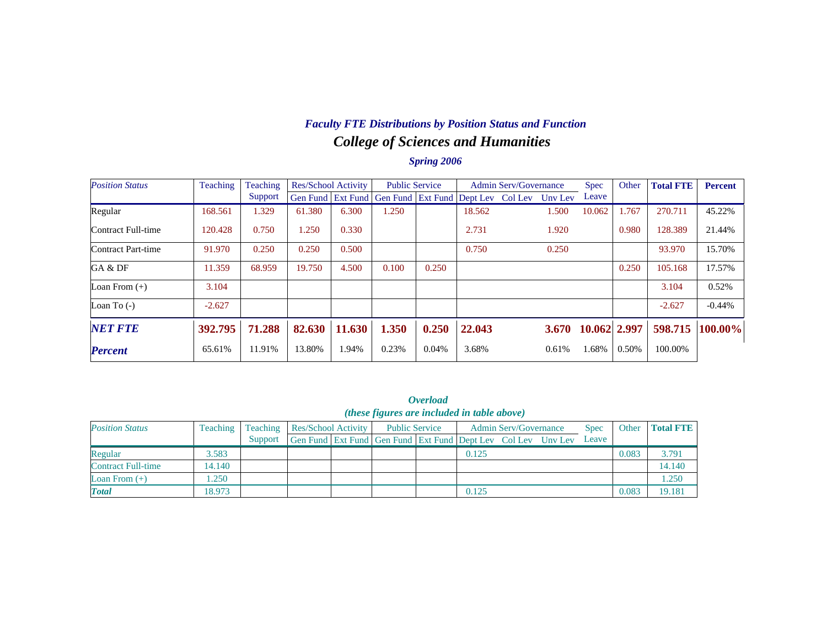## *College of Sciences and Humanities Faculty FTE Distributions by Position Status and Function*

| <b>Position Status</b> | Teaching | Teaching | Res/School Activity |        | <b>Public Service</b>                                                |       |        | <b>Admin Serv/Governance</b> |       | <b>Spec</b>        | Other | <b>Total FTE</b> | <b>Percent</b> |
|------------------------|----------|----------|---------------------|--------|----------------------------------------------------------------------|-------|--------|------------------------------|-------|--------------------|-------|------------------|----------------|
|                        |          | Support  |                     |        | Gen Fund   Ext Fund   Gen Fund   Ext Fund   Dept Lev Col Lev Unv Lev |       |        |                              |       | Leave              |       |                  |                |
| Regular                | 168.561  | 1.329    | 61.380              | 6.300  | 1.250                                                                |       | 18.562 |                              | 1.500 | 10.062             | 1.767 | 270.711          | 45.22%         |
| Contract Full-time     | 120.428  | 0.750    | 1.250               | 0.330  |                                                                      |       | 2.731  |                              | 1.920 |                    | 0.980 | 128.389          | 21.44%         |
| Contract Part-time     | 91.970   | 0.250    | 0.250               | 0.500  |                                                                      |       | 0.750  |                              | 0.250 |                    |       | 93.970           | 15.70%         |
| GA & DF                | 11.359   | 68.959   | 19.750              | 4.500  | 0.100                                                                | 0.250 |        |                              |       |                    | 0.250 | 105.168          | 17.57%         |
| Loan From $(+)$        | 3.104    |          |                     |        |                                                                      |       |        |                              |       |                    |       | 3.104            | 0.52%          |
| Loan To $(-)$          | $-2.627$ |          |                     |        |                                                                      |       |        |                              |       |                    |       | $-2.627$         | $-0.44%$       |
| <b>NET FTE</b>         | 392.795  | 71.288   | 82.630              | 11.630 | 1.350                                                                | 0.250 | 22.043 |                              |       | 3.670 10.062 2.997 |       | 598.715          | $100.00\%$     |
| <b>Percent</b>         | 65.61%   | 11.91%   | 13.80%              | 1.94%  | 0.23%                                                                | 0.04% | 3.68%  |                              | 0.61% | 1.68%              | 0.50% | 100.00%          |                |

|                           |          |          |                            |                                                              | <i><b>Overload</b></i> |       |                              |             |       |                  |
|---------------------------|----------|----------|----------------------------|--------------------------------------------------------------|------------------------|-------|------------------------------|-------------|-------|------------------|
|                           |          |          |                            | ( <i>these figures are included in table above</i> )         |                        |       |                              |             |       |                  |
| <b>Position Status</b>    | Teaching | Teaching | <b>Res/School Activity</b> | <b>Public Service</b>                                        |                        |       | <b>Admin Serv/Governance</b> | <b>Spec</b> | Other | <b>Total FTE</b> |
|                           |          | Support  |                            | Gen Fund Ext Fund Gen Fund Ext Fund Dept Lev Col Lev Unv Lev |                        |       |                              | Leave       |       |                  |
| Regular                   | 3.583    |          |                            |                                                              |                        | 0.125 |                              |             | 0.083 | 3.791            |
| <b>Contract Full-time</b> | 14.140   |          |                            |                                                              |                        |       |                              |             |       | 14.140           |
| Loan From $(+)$           | .250     |          |                            |                                                              |                        |       |                              |             |       | 1.250            |
| <b>Total</b>              | 18.973   |          |                            |                                                              |                        | 0.125 |                              |             | 0.083 | 19.181           |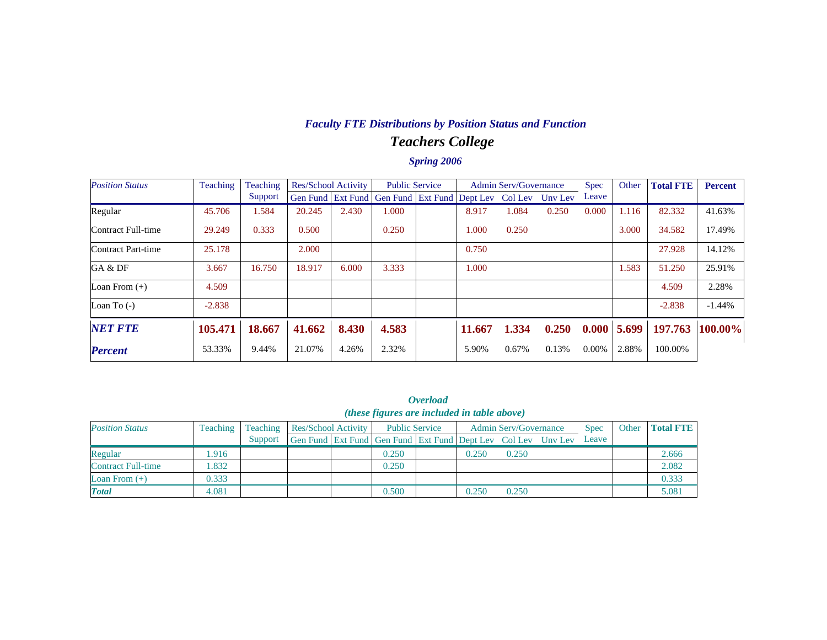### *Teachers College Faculty FTE Distributions by Position Status and Function*

| <b>Position Status</b> | Teaching | Teaching | Res/School Activity |       | <b>Public Service</b>      |  | <b>Admin Serv/Governance</b> |         |         | Spec  | Other | <b>Total FTE</b> | <b>Percent</b> |
|------------------------|----------|----------|---------------------|-------|----------------------------|--|------------------------------|---------|---------|-------|-------|------------------|----------------|
|                        |          | Support  | Gen Fund Ext Fund   |       | Gen Fund Ext Fund Dept Lev |  |                              | Col Lev | Uny Lev | Leave |       |                  |                |
| Regular                | 45.706   | 1.584    | 20.245              | 2.430 | 1.000                      |  | 8.917                        | 1.084   | 0.250   | 0.000 | 1.116 | 82.332           | 41.63%         |
| Contract Full-time     | 29.249   | 0.333    | 0.500               |       | 0.250                      |  | 1.000                        | 0.250   |         |       | 3.000 | 34.582           | 17.49%         |
| Contract Part-time     | 25.178   |          | 2.000               |       |                            |  | 0.750                        |         |         |       |       | 27.928           | 14.12%         |
| GA & DF                | 3.667    | 16.750   | 18.917              | 6.000 | 3.333                      |  | 1.000                        |         |         |       | 1.583 | 51.250           | 25.91%         |
| Loan From $(+)$        | 4.509    |          |                     |       |                            |  |                              |         |         |       |       | 4.509            | 2.28%          |
| Loan To $(-)$          | $-2.838$ |          |                     |       |                            |  |                              |         |         |       |       | $-2.838$         | $-1.44%$       |
| <b>NET FTE</b>         | 105.471  | 18.667   | 41.662              | 8.430 | 4.583                      |  | 11.667                       | 1.334   | 0.250   | 0.000 | 5.699 | 197.763          | 100.00%        |
| <b>Percent</b>         | 53.33%   | 9.44%    | 21.07%              | 4.26% | 2.32%                      |  | 5.90%                        | 0.67%   | 0.13%   | 0.00% | 2.88% | 100.00%          |                |

|                           | <b>Overload</b><br>( <i>these figures are included in table above</i> ) |          |                            |  |                                                              |  |                              |       |  |             |       |                  |  |
|---------------------------|-------------------------------------------------------------------------|----------|----------------------------|--|--------------------------------------------------------------|--|------------------------------|-------|--|-------------|-------|------------------|--|
| <b>Position Status</b>    | Teaching                                                                | Teaching | <b>Res/School Activity</b> |  | <b>Public Service</b>                                        |  | <b>Admin Serv/Governance</b> |       |  | <b>Spec</b> | Other | <b>Total FTE</b> |  |
|                           |                                                                         | Support  |                            |  | Gen Fund Ext Fund Gen Fund Ext Fund Dept Lev Col Lev Unv Lev |  |                              |       |  | Leave       |       |                  |  |
| Regular                   | .916                                                                    |          |                            |  | 0.250                                                        |  | 0.250                        | 0.250 |  |             |       | 2.666            |  |
| <b>Contract Full-time</b> | .832                                                                    |          |                            |  | 0.250                                                        |  |                              |       |  |             |       | 2.082            |  |
| Loan From $(+)$           | 0.333                                                                   |          |                            |  |                                                              |  |                              |       |  |             |       | 0.333            |  |
| <b>Total</b>              | 4.081                                                                   |          |                            |  | 0.500                                                        |  | 0.250                        | 0.250 |  |             |       | 5.081            |  |